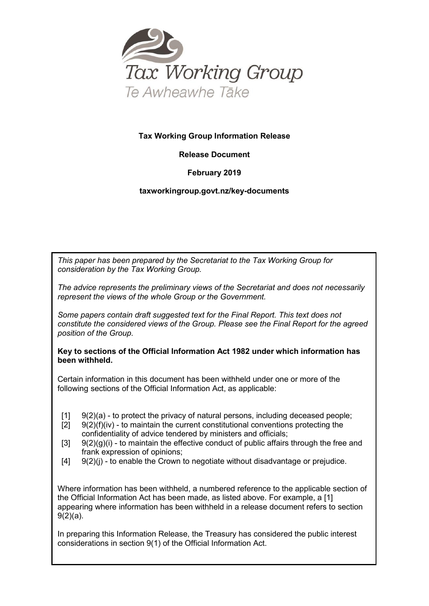

#### **Tax Working Group Information Release**

#### **Release Document**

#### **February 2019**

#### **taxworkingroup.govt.nz/key-documents**

*This paper has been prepared by the Secretariat to the Tax Working Group for consideration by the Tax Working Group.*

*The advice represents the preliminary views of the Secretariat and does not necessarily represent the views of the whole Group or the Government.*

*Some papers contain draft suggested text for the Final Report. This text does not constitute the considered views of the Group. Please see the Final Report for the agreed position of the Group.*

**Key to sections of the Official Information Act 1982 under which information has been withheld.** 

Certain information in this document has been withheld under one or more of the following sections of the Official Information Act, as applicable:

- [1]  $9(2)(a)$  to protect the privacy of natural persons, including deceased people;<br>[2]  $9(2)(f)(iv)$  to maintain the current constitutional conventions protecting the
- $9(2)$ (f)(iv) to maintain the current constitutional conventions protecting the confidentiality of advice tendered by ministers and officials;
- $[3]$  9(2)(g)(i) to maintain the effective conduct of public affairs through the free and frank expression of opinions;
- $[4]$   $[9(2)(i)$  to enable the Crown to negotiate without disadvantage or prejudice.

Where information has been withheld, a numbered reference to the applicable section of the Official Information Act has been made, as listed above. For example, a [1] appearing where information has been withheld in a release document refers to section 9(2)(a).

In preparing this Information Release, the Treasury has considered the public interest considerations in section 9(1) of the Official Information Act.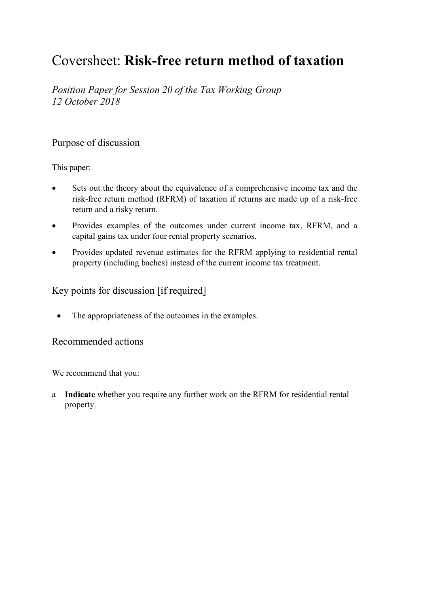# Coversheet: **Risk-free return method of taxation**

*Position Paper for Session 20 of the Tax Working Group 12 October 2018*

## Purpose of discussion

This paper:

- Sets out the theory about the equivalence of a comprehensive income tax and the risk-free return method (RFRM) of taxation if returns are made up of a risk-free return and a risky return.
- Provides examples of the outcomes under current income tax, RFRM, and a capital gains tax under four rental property scenarios.
- Provides updated revenue estimates for the RFRM applying to residential rental property (including baches) instead of the current income tax treatment.

## Key points for discussion [if required]

• The appropriateness of the outcomes in the examples.

#### Recommended actions

We recommend that you:

a **Indicate** whether you require any further work on the RFRM for residential rental property.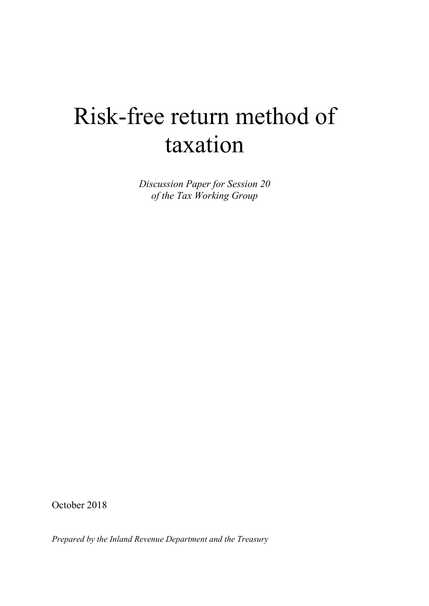# Risk-free return method of taxation

*Discussion Paper for Session 20 of the Tax Working Group* 

October 2018

*Prepared by the Inland Revenue Department and the Treasury*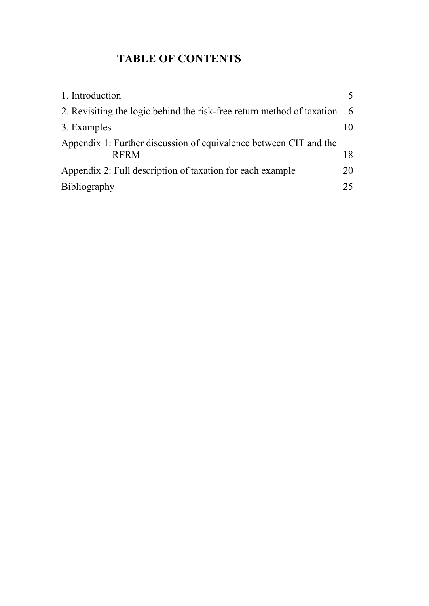## **TABLE OF CONTENTS**

| 1. Introduction                                                                  |     |
|----------------------------------------------------------------------------------|-----|
| 2. Revisiting the logic behind the risk-free return method of taxation           | - 6 |
| 3. Examples                                                                      | 10  |
| Appendix 1: Further discussion of equivalence between CIT and the<br><b>RFRM</b> | 18  |
| Appendix 2: Full description of taxation for each example                        | 20  |
| <b>Bibliography</b>                                                              | 25  |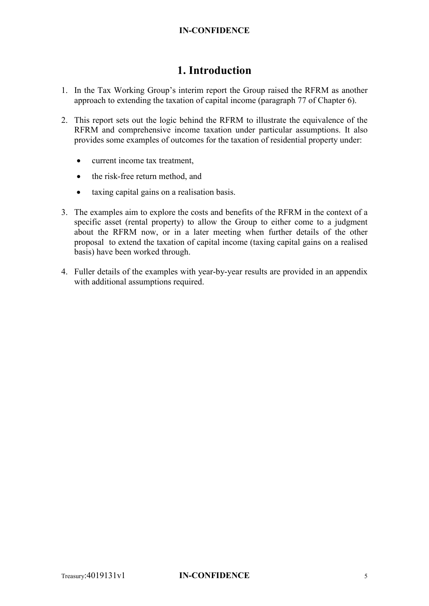## **1. Introduction**

- 1. In the Tax Working Group's interim report the Group raised the RFRM as another approach to extending the taxation of capital income (paragraph 77 of Chapter 6).
- 2. This report sets out the logic behind the RFRM to illustrate the equivalence of the RFRM and comprehensive income taxation under particular assumptions. It also provides some examples of outcomes for the taxation of residential property under:
	- current income tax treatment,
	- the risk-free return method, and
	- taxing capital gains on a realisation basis.
- 3. The examples aim to explore the costs and benefits of the RFRM in the context of a specific asset (rental property) to allow the Group to either come to a judgment about the RFRM now, or in a later meeting when further details of the other proposal to extend the taxation of capital income (taxing capital gains on a realised basis) have been worked through.
- 4. Fuller details of the examples with year-by-year results are provided in an appendix with additional assumptions required.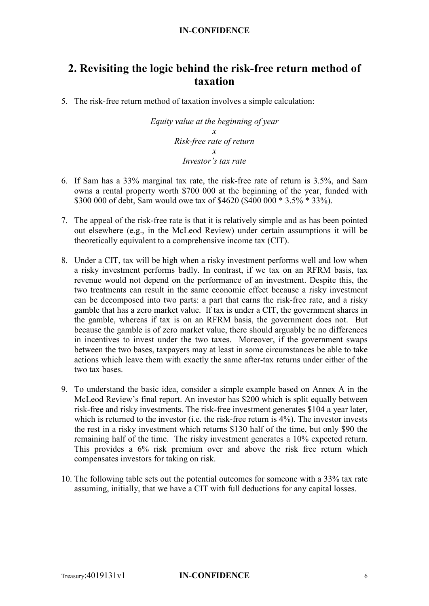## **2. Revisiting the logic behind the risk-free return method of taxation**

5. The risk-free return method of taxation involves a simple calculation:

*Equity value at the beginning of year x Risk-free rate of return x Investor's tax rate*

- 6. If Sam has a 33% marginal tax rate, the risk-free rate of return is 3.5%, and Sam owns a rental property worth \$700 000 at the beginning of the year, funded with \$300 000 of debt, Sam would owe tax of \$4620 (\$400 000 \* 3.5% \* 33%).
- 7. The appeal of the risk-free rate is that it is relatively simple and as has been pointed out elsewhere (e.g., in the McLeod Review) under certain assumptions it will be theoretically equivalent to a comprehensive income tax (CIT).
- 8. Under a CIT, tax will be high when a risky investment performs well and low when a risky investment performs badly. In contrast, if we tax on an RFRM basis, tax revenue would not depend on the performance of an investment. Despite this, the two treatments can result in the same economic effect because a risky investment can be decomposed into two parts: a part that earns the risk-free rate, and a risky gamble that has a zero market value. If tax is under a CIT, the government shares in the gamble, whereas if tax is on an RFRM basis, the government does not. But because the gamble is of zero market value, there should arguably be no differences in incentives to invest under the two taxes. Moreover, if the government swaps between the two bases, taxpayers may at least in some circumstances be able to take actions which leave them with exactly the same after-tax returns under either of the two tax bases.
- 9. To understand the basic idea, consider a simple example based on Annex A in the McLeod Review's final report. An investor has \$200 which is split equally between risk-free and risky investments. The risk-free investment generates \$104 a year later, which is returned to the investor (i.e. the risk-free return is 4%). The investor invests the rest in a risky investment which returns \$130 half of the time, but only \$90 the remaining half of the time. The risky investment generates a 10% expected return. This provides a 6% risk premium over and above the risk free return which compensates investors for taking on risk.
- 10. The following table sets out the potential outcomes for someone with a 33% tax rate assuming, initially, that we have a CIT with full deductions for any capital losses.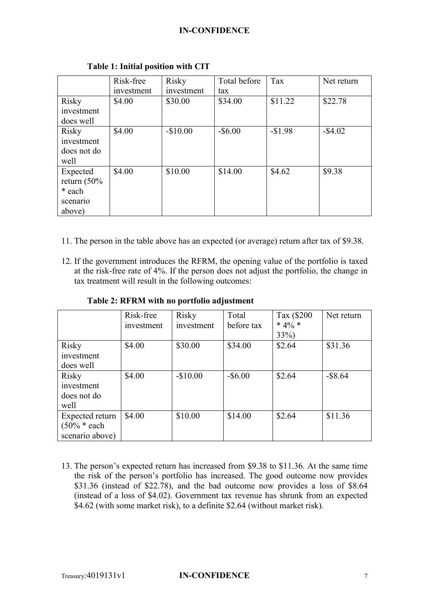|                | Risk-free  | Risky      | Total before | Tax      | Net return |
|----------------|------------|------------|--------------|----------|------------|
|                | investment | investment | tax          |          |            |
| <b>Risky</b>   | \$4.00     | \$30.00    | \$34.00      | \$11.22  | \$22.78    |
| investment     |            |            |              |          |            |
| does well      |            |            |              |          |            |
| Risky          | \$4.00     | $-$10.00$  | $-$ \$6.00   | $-$1.98$ | $-$ \$4.02 |
| investment     |            |            |              |          |            |
| does not do    |            |            |              |          |            |
| well           |            |            |              |          |            |
| Expected       | \$4.00     | \$10.00    | \$14.00      | \$4.62   | \$9.38     |
| return $(50\%$ |            |            |              |          |            |
| * each         |            |            |              |          |            |
| scenario       |            |            |              |          |            |
| above)         |            |            |              |          |            |

#### **Table 1: Initial position with CIT**

- 11. The person in the table above has an expected (or average) return after tax of \$9.38.
- 12. If the government introduces the RFRM, the opening value of the portfolio is taxed at the risk-free rate of 4%. If the person does not adjust the portfolio, the change in tax treatment will result in the following outcomes:

|                                                      | Risk-free<br>investment | Risky<br>investment | Total<br>before tax | Tax (\$200<br>* $4\%$ * | Net return |
|------------------------------------------------------|-------------------------|---------------------|---------------------|-------------------------|------------|
|                                                      |                         |                     |                     | $33\%)$                 |            |
| Risky<br>investment                                  | \$4.00                  | \$30.00             | \$34.00             | \$2.64                  | \$31.36    |
| does well                                            |                         |                     |                     |                         |            |
| <b>Risky</b><br>investment<br>does not do<br>well    | \$4.00                  | $-$10.00$           | $-$ \$6.00          | \$2.64                  | $-$ \$8.64 |
| Expected return<br>$(50\% * each$<br>scenario above) | \$4.00                  | \$10.00             | \$14.00             | \$2.64                  | \$11.36    |

**Table 2: RFRM with no portfolio adjustment**

13. The person's expected return has increased from \$9.38 to \$11.36. At the same time the risk of the person's portfolio has increased. The good outcome now provides \$31.36 (instead of \$22.78), and the bad outcome now provides a loss of \$8.64 (instead of a loss of \$4.02). Government tax revenue has shrunk from an expected \$4.62 (with some market risk), to a definite \$2.64 (without market risk).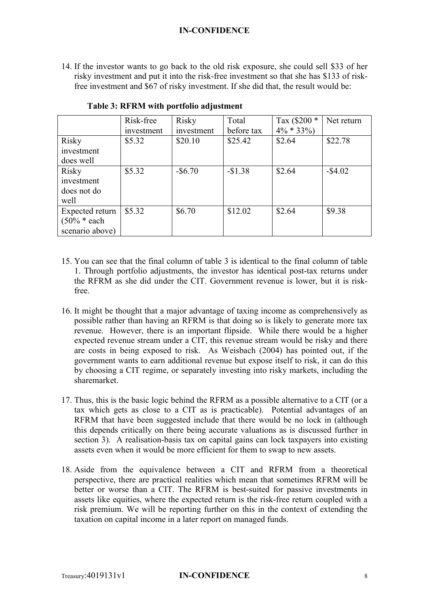14. If the investor wants to go back to the old risk exposure, she could sell \$33 of her risky investment and put it into the risk-free investment so that she has \$133 of riskfree investment and \$67 of risky investment. If she did that, the result would be:

|                 | Risk-free  | <b>Risky</b> | Total      | Tax $(\$200 *$ | Net return |
|-----------------|------------|--------------|------------|----------------|------------|
|                 | investment | investment   | before tax | $4\% * 33\%$   |            |
| Risky           | \$5.32     | \$20.10      | \$25.42    | \$2.64         | \$22.78    |
| investment      |            |              |            |                |            |
| does well       |            |              |            |                |            |
| Risky           | \$5.32     | $-$ \$6.70   | $-$1.38$   | \$2.64         | $-$ \$4.02 |
| investment      |            |              |            |                |            |
| does not do     |            |              |            |                |            |
| well            |            |              |            |                |            |
| Expected return | \$5.32     | \$6.70       | \$12.02    | \$2.64         | \$9.38     |
| $(50\% * each$  |            |              |            |                |            |
| scenario above) |            |              |            |                |            |

#### **Table 3: RFRM with portfolio adjustment**

- 15. You can see that the final column of table 3 is identical to the final column of table 1. Through portfolio adjustments, the investor has identical post-tax returns under the RFRM as she did under the CIT. Government revenue is lower, but it is riskfree.
- 16. It might be thought that a major advantage of taxing income as comprehensively as possible rather than having an RFRM is that doing so is likely to generate more tax revenue. However, there is an important flipside. While there would be a higher expected revenue stream under a CIT, this revenue stream would be risky and there are costs in being exposed to risk. As Weisbach (2004) has pointed out, if the government wants to earn additional revenue but expose itself to risk, it can do this by choosing a CIT regime, or separately investing into risky markets, including the sharemarket.
- 17. Thus, this is the basic logic behind the RFRM as a possible alternative to a CIT (or a tax which gets as close to a CIT as is practicable). Potential advantages of an RFRM that have been suggested include that there would be no lock in (although this depends critically on there being accurate valuations as is discussed further in section 3). A realisation-basis tax on capital gains can lock taxpayers into existing assets even when it would be more efficient for them to swap to new assets.
- 18. Aside from the equivalence between a CIT and RFRM from a theoretical perspective, there are practical realities which mean that sometimes RFRM will be better or worse than a CIT. The RFRM is best-suited for passive investments in assets like equities, where the expected return is the risk-free return coupled with a risk premium. We will be reporting further on this in the context of extending the taxation on capital income in a later report on managed funds.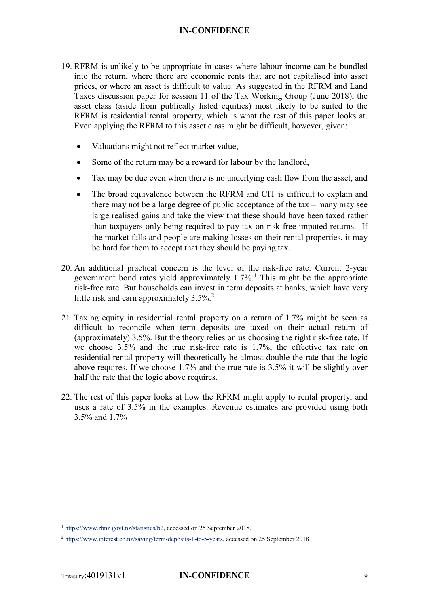- 19. RFRM is unlikely to be appropriate in cases where labour income can be bundled into the return, where there are economic rents that are not capitalised into asset prices, or where an asset is difficult to value. As suggested in the RFRM and Land Taxes discussion paper for session 11 of the Tax Working Group (June 2018), the asset class (aside from publically listed equities) most likely to be suited to the RFRM is residential rental property, which is what the rest of this paper looks at. Even applying the RFRM to this asset class might be difficult, however, given:
	- Valuations might not reflect market value,
	- Some of the return may be a reward for labour by the landlord,
	- Tax may be due even when there is no underlying cash flow from the asset, and
	- The broad equivalence between the RFRM and CIT is difficult to explain and there may not be a large degree of public acceptance of the tax – many may see large realised gains and take the view that these should have been taxed rather than taxpayers only being required to pay tax on risk-free imputed returns. If the market falls and people are making losses on their rental properties, it may be hard for them to accept that they should be paying tax.
- 20. An additional practical concern is the level of the risk-free rate. Current 2-year government bond rates yield approximately  $1.7\%$ .<sup>1</sup> This might be the appropriate risk-free rate. But households can invest in term deposits at banks, which have very little risk and earn approximately  $3.5\%$ <sup>2</sup>
- 21. Taxing equity in residential rental property on a return of 1.7% might be seen as difficult to reconcile when term deposits are taxed on their actual return of (approximately) 3.5%. But the theory relies on us choosing the right risk-free rate. If we choose 3.5% and the true risk-free rate is 1.7%, the effective tax rate on residential rental property will theoretically be almost double the rate that the logic above requires. If we choose 1.7% and the true rate is 3.5% it will be slightly over half the rate that the logic above requires.
- 22. The rest of this paper looks at how the RFRM might apply to rental property, and uses a rate of 3.5% in the examples. Revenue estimates are provided using both 3.5% and 1.7%

<sup>&</sup>lt;sup>1</sup> [https://www.rbnz.govt.nz/statistics/b2,](https://www.rbnz.govt.nz/statistics/b2) accessed on 25 September 2018.

<sup>&</sup>lt;sup>2</sup> [https://www.interest.co.nz/saving/term-deposits-1-to-5-years,](https://www.interest.co.nz/saving/term-deposits-1-to-5-years) accessed on 25 September 2018.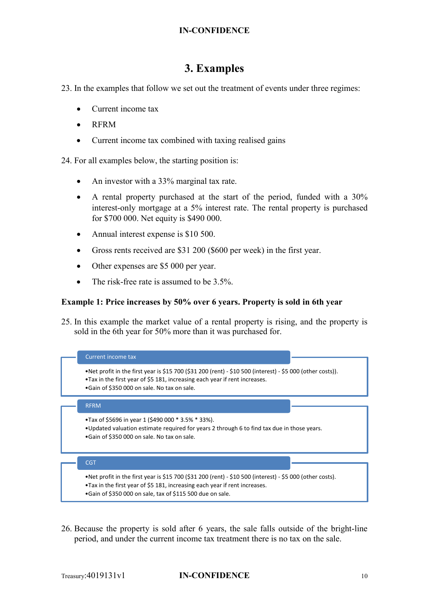## **3. Examples**

23. In the examples that follow we set out the treatment of events under three regimes:

- Current income tax
- RFRM
- Current income tax combined with taxing realised gains

24. For all examples below, the starting position is:

- An investor with a 33% marginal tax rate.
- A rental property purchased at the start of the period, funded with a 30% interest-only mortgage at a 5% interest rate. The rental property is purchased for \$700 000. Net equity is \$490 000.
- Annual interest expense is \$10 500.
- Gross rents received are \$31 200 (\$600 per week) in the first year.
- Other expenses are \$5 000 per year.
- The risk-free rate is assumed to be 3.5%.

#### **Example 1: Price increases by 50% over 6 years. Property is sold in 6th year**

25. In this example the market value of a rental property is rising, and the property is sold in the 6th year for 50% more than it was purchased for.



26. Because the property is sold after 6 years, the sale falls outside of the bright-line period, and under the current income tax treatment there is no tax on the sale.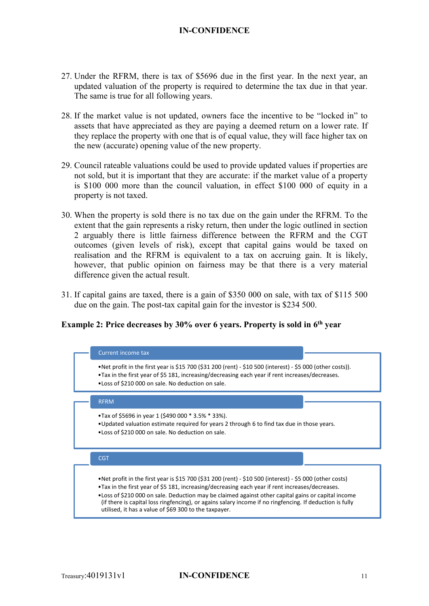- 27. Under the RFRM, there is tax of \$5696 due in the first year. In the next year, an updated valuation of the property is required to determine the tax due in that year. The same is true for all following years.
- 28. If the market value is not updated, owners face the incentive to be "locked in" to assets that have appreciated as they are paying a deemed return on a lower rate. If they replace the property with one that is of equal value, they will face higher tax on the new (accurate) opening value of the new property.
- 29. Council rateable valuations could be used to provide updated values if properties are not sold, but it is important that they are accurate: if the market value of a property is \$100 000 more than the council valuation, in effect \$100 000 of equity in a property is not taxed.
- 30. When the property is sold there is no tax due on the gain under the RFRM. To the extent that the gain represents a risky return, then under the logic outlined in section 2 arguably there is little fairness difference between the RFRM and the CGT outcomes (given levels of risk), except that capital gains would be taxed on realisation and the RFRM is equivalent to a tax on accruing gain. It is likely, however, that public opinion on fairness may be that there is a very material difference given the actual result.
- 31. If capital gains are taxed, there is a gain of \$350 000 on sale, with tax of \$115 500 due on the gain. The post-tax capital gain for the investor is \$234 500.

#### **Example 2: Price decreases by 30% over 6 years. Property is sold in 6th year**

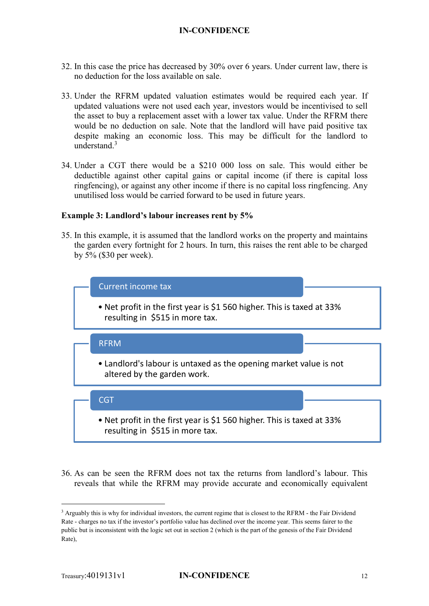- 32. In this case the price has decreased by 30% over 6 years. Under current law, there is no deduction for the loss available on sale.
- 33. Under the RFRM updated valuation estimates would be required each year. If updated valuations were not used each year, investors would be incentivised to sell the asset to buy a replacement asset with a lower tax value. Under the RFRM there would be no deduction on sale. Note that the landlord will have paid positive tax despite making an economic loss. This may be difficult for the landlord to understand $3$
- 34. Under a CGT there would be a \$210 000 loss on sale. This would either be deductible against other capital gains or capital income (if there is capital loss ringfencing), or against any other income if there is no capital loss ringfencing. Any unutilised loss would be carried forward to be used in future years.

#### **Example 3: Landlord's labour increases rent by 5%**

35. In this example, it is assumed that the landlord works on the property and maintains the garden every fortnight for 2 hours. In turn, this raises the rent able to be charged by 5% (\$30 per week).



36. As can be seen the RFRM does not tax the returns from landlord's labour. This reveals that while the RFRM may provide accurate and economically equivalent

<sup>&</sup>lt;sup>3</sup> Arguably this is why for individual investors, the current regime that is closest to the RFRM - the Fair Dividend Rate - charges no tax if the investor's portfolio value has declined over the income year. This seems fairer to the public but is inconsistent with the logic set out in section 2 (which is the part of the genesis of the Fair Dividend Rate),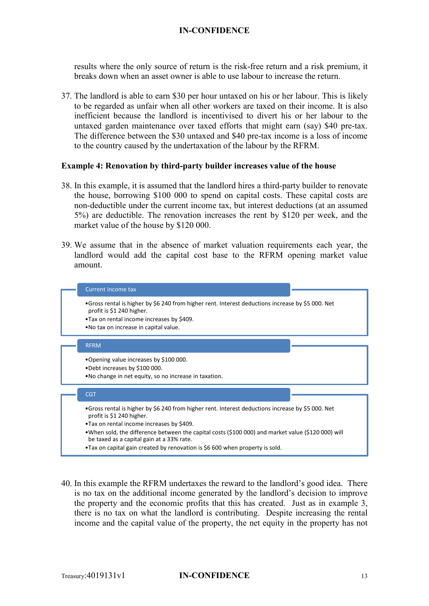results where the only source of return is the risk-free return and a risk premium, it breaks down when an asset owner is able to use labour to increase the return.

37. The landlord is able to earn \$30 per hour untaxed on his or her labour. This is likely to be regarded as unfair when all other workers are taxed on their income. It is also inefficient because the landlord is incentivised to divert his or her labour to the untaxed garden maintenance over taxed efforts that might earn (say) \$40 pre-tax. The difference between the \$30 untaxed and \$40 pre-tax income is a loss of income to the country caused by the undertaxation of the labour by the RFRM.

#### **Example 4: Renovation by third-party builder increases value of the house**

- 38. In this example, it is assumed that the landlord hires a third-party builder to renovate the house, borrowing \$100 000 to spend on capital costs. These capital costs are non-deductible under the current income tax, but interest deductions (at an assumed 5%) are deductible. The renovation increases the rent by \$120 per week, and the market value of the house by \$120 000.
- 39. We assume that in the absence of market valuation requirements each year, the landlord would add the capital cost base to the RFRM opening market value amount.



40. In this example the RFRM undertaxes the reward to the landlord's good idea. There is no tax on the additional income generated by the landlord's decision to improve the property and the economic profits that this has created. Just as in example 3, there is no tax on what the landlord is contributing. Despite increasing the rental income and the capital value of the property, the net equity in the property has not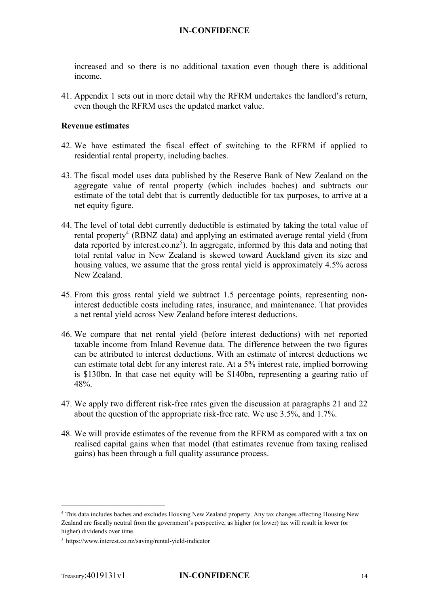increased and so there is no additional taxation even though there is additional income.

41. Appendix 1 sets out in more detail why the RFRM undertakes the landlord's return, even though the RFRM uses the updated market value.

#### **Revenue estimates**

- 42. We have estimated the fiscal effect of switching to the RFRM if applied to residential rental property, including baches.
- 43. The fiscal model uses data published by the Reserve Bank of New Zealand on the aggregate value of rental property (which includes baches) and subtracts our estimate of the total debt that is currently deductible for tax purposes, to arrive at a net equity figure.
- 44. The level of total debt currently deductible is estimated by taking the total value of rental property<sup>4</sup> (RBNZ data) and applying an estimated average rental yield (from data reported by interest.co.nz<sup>5</sup>). In aggregate, informed by this data and noting that total rental value in New Zealand is skewed toward Auckland given its size and housing values, we assume that the gross rental yield is approximately 4.5% across New Zealand.
- 45. From this gross rental yield we subtract 1.5 percentage points, representing noninterest deductible costs including rates, insurance, and maintenance. That provides a net rental yield across New Zealand before interest deductions.
- 46. We compare that net rental yield (before interest deductions) with net reported taxable income from Inland Revenue data. The difference between the two figures can be attributed to interest deductions. With an estimate of interest deductions we can estimate total debt for any interest rate. At a 5% interest rate, implied borrowing is \$130bn. In that case net equity will be \$140bn, representing a gearing ratio of 48%.
- 47. We apply two different risk-free rates given the discussion at paragraphs 21 and 22 about the question of the appropriate risk-free rate. We use 3.5%, and 1.7%.
- 48. We will provide estimates of the revenue from the RFRM as compared with a tax on realised capital gains when that model (that estimates revenue from taxing realised gains) has been through a full quality assurance process.

 <sup>4</sup> This data includes baches and excludes Housing New Zealand property. Any tax changes affecting Housing New Zealand are fiscally neutral from the government's perspective, as higher (or lower) tax will result in lower (or higher) dividends over time.

<sup>5</sup> https://www.interest.co.nz/saving/rental-yield-indicator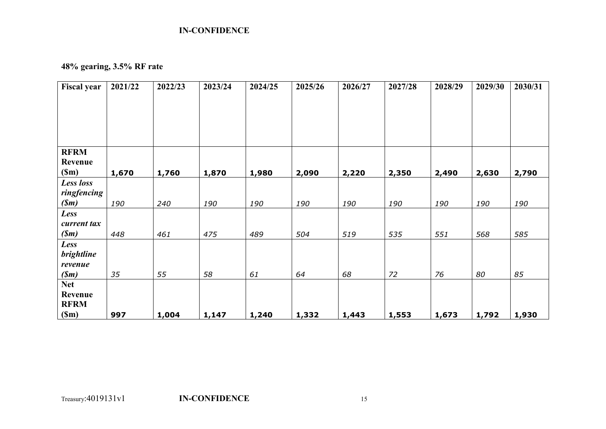## **48% gearing, 3.5% RF rate**

| <b>Fiscal year</b>           | 2021/22 | 2022/23 | 2023/24 | 2024/25 | 2025/26 | 2026/27 | 2027/28 | 2028/29 | 2029/30 | 2030/31 |
|------------------------------|---------|---------|---------|---------|---------|---------|---------|---------|---------|---------|
|                              |         |         |         |         |         |         |         |         |         |         |
|                              |         |         |         |         |         |         |         |         |         |         |
|                              |         |         |         |         |         |         |         |         |         |         |
|                              |         |         |         |         |         |         |         |         |         |         |
| <b>RFRM</b>                  |         |         |         |         |         |         |         |         |         |         |
| Revenue                      |         |         |         |         |         |         |         |         |         |         |
| (Sm)                         | 1,670   | 1,760   | 1,870   | 1,980   | 2,090   | 2,220   | 2,350   | 2,490   | 2,630   | 2,790   |
| Less loss                    |         |         |         |         |         |         |         |         |         |         |
| ringfencing                  |         |         |         |         |         |         |         |         |         |         |
| (Sm)                         | 190     | 240     | 190     | 190     | 190     | 190     | 190     | 190     | 190     | 190     |
| Less                         |         |         |         |         |         |         |         |         |         |         |
| current tax                  |         |         |         |         |         |         |         |         |         |         |
| (Sm)                         | 448     | 461     | 475     | 489     | 504     | 519     | 535     | 551     | 568     | 585     |
| Less                         |         |         |         |         |         |         |         |         |         |         |
| <b>brightline</b><br>revenue |         |         |         |         |         |         |         |         |         |         |
| (Sm)                         | 35      | 55      | 58      | 61      | 64      | 68      | 72      | 76      | 80      | 85      |
| <b>Net</b>                   |         |         |         |         |         |         |         |         |         |         |
| Revenue                      |         |         |         |         |         |         |         |         |         |         |
| <b>RFRM</b>                  |         |         |         |         |         |         |         |         |         |         |
| (Sm)                         | 997     | 1,004   | 1,147   | 1,240   | 1,332   | 1,443   | 1,553   | 1,673   | 1,792   | 1,930   |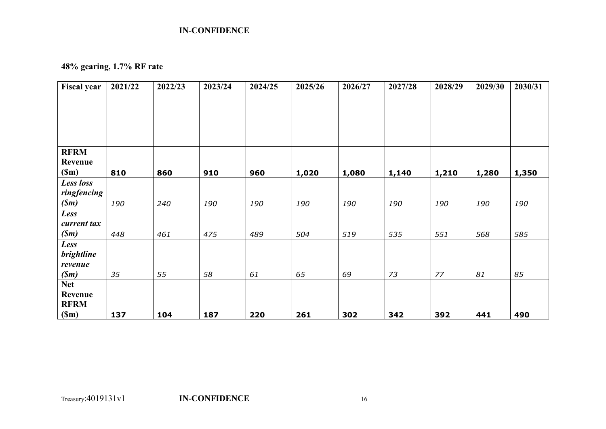## **48% gearing, 1.7% RF rate**

| <b>Fiscal year</b> | 2021/22 | 2022/23 | 2023/24 | 2024/25 | 2025/26 | 2026/27 | 2027/28 | 2028/29 | 2029/30 | 2030/31 |
|--------------------|---------|---------|---------|---------|---------|---------|---------|---------|---------|---------|
|                    |         |         |         |         |         |         |         |         |         |         |
|                    |         |         |         |         |         |         |         |         |         |         |
|                    |         |         |         |         |         |         |         |         |         |         |
|                    |         |         |         |         |         |         |         |         |         |         |
| <b>RFRM</b>        |         |         |         |         |         |         |         |         |         |         |
| Revenue            |         |         |         |         |         |         |         |         |         |         |
| (Sm)               | 810     | 860     | 910     | 960     | 1,020   | 1,080   | 1,140   | 1,210   | 1,280   | 1,350   |
| Less loss          |         |         |         |         |         |         |         |         |         |         |
| ringfencing        |         |         |         |         |         |         |         |         |         |         |
| (Sm)               | 190     | 240     | 190     | 190     | 190     | 190     | 190     | 190     | 190     | 190     |
| Less               |         |         |         |         |         |         |         |         |         |         |
| current tax        |         |         |         |         |         |         |         |         |         |         |
| (Sm)               | 448     | 461     | 475     | 489     | 504     | 519     | 535     | 551     | 568     | 585     |
| Less               |         |         |         |         |         |         |         |         |         |         |
| <b>brightline</b>  |         |         |         |         |         |         |         |         |         |         |
| revenue            |         |         |         |         |         |         |         |         |         |         |
| (Sm)               | 35      | 55      | 58      | 61      | 65      | 69      | 73      | 77      | 81      | 85      |
| <b>Net</b>         |         |         |         |         |         |         |         |         |         |         |
| Revenue            |         |         |         |         |         |         |         |         |         |         |
| <b>RFRM</b>        |         |         |         |         |         |         |         |         |         |         |
| (Sm)               | 137     | 104     | 187     | 220     | 261     | 302     | 342     | 392     | 441     | 490     |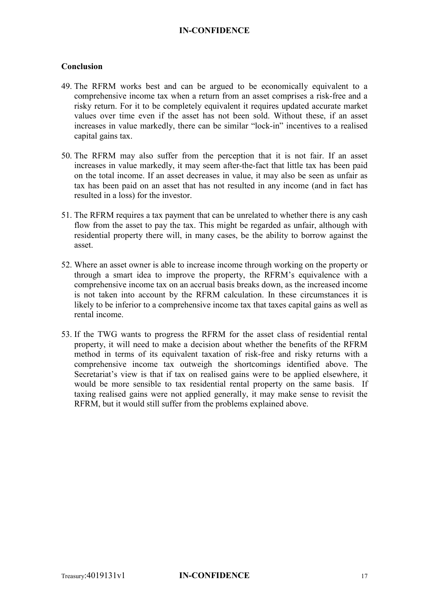#### **Conclusion**

- 49. The RFRM works best and can be argued to be economically equivalent to a comprehensive income tax when a return from an asset comprises a risk-free and a risky return. For it to be completely equivalent it requires updated accurate market values over time even if the asset has not been sold. Without these, if an asset increases in value markedly, there can be similar "lock-in" incentives to a realised capital gains tax.
- 50. The RFRM may also suffer from the perception that it is not fair. If an asset increases in value markedly, it may seem after-the-fact that little tax has been paid on the total income. If an asset decreases in value, it may also be seen as unfair as tax has been paid on an asset that has not resulted in any income (and in fact has resulted in a loss) for the investor.
- 51. The RFRM requires a tax payment that can be unrelated to whether there is any cash flow from the asset to pay the tax. This might be regarded as unfair, although with residential property there will, in many cases, be the ability to borrow against the asset.
- 52. Where an asset owner is able to increase income through working on the property or through a smart idea to improve the property, the RFRM's equivalence with a comprehensive income tax on an accrual basis breaks down, as the increased income is not taken into account by the RFRM calculation. In these circumstances it is likely to be inferior to a comprehensive income tax that taxes capital gains as well as rental income.
- 53. If the TWG wants to progress the RFRM for the asset class of residential rental property, it will need to make a decision about whether the benefits of the RFRM method in terms of its equivalent taxation of risk-free and risky returns with a comprehensive income tax outweigh the shortcomings identified above. The Secretariat's view is that if tax on realised gains were to be applied elsewhere, it would be more sensible to tax residential rental property on the same basis. If taxing realised gains were not applied generally, it may make sense to revisit the RFRM, but it would still suffer from the problems explained above.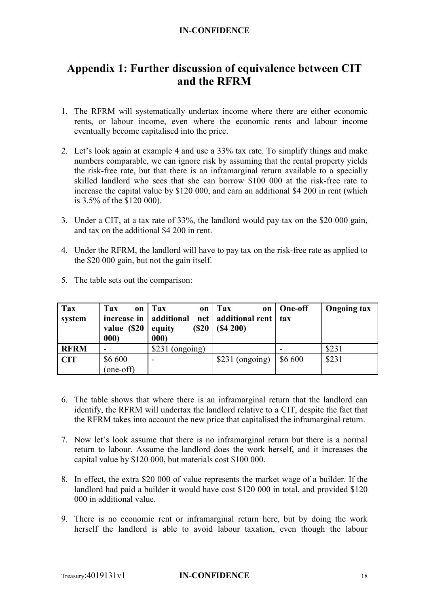## **Appendix 1: Further discussion of equivalence between CIT and the RFRM**

- 1. The RFRM will systematically undertax income where there are either economic rents, or labour income, even where the economic rents and labour income eventually become capitalised into the price.
- 2. Let's look again at example 4 and use a 33% tax rate. To simplify things and make numbers comparable, we can ignore risk by assuming that the rental property yields the risk-free rate, but that there is an inframarginal return available to a specially skilled landlord who sees that she can borrow \$100 000 at the risk-free rate to increase the capital value by \$120 000, and earn an additional \$4 200 in rent (which is 3.5% of the \$120 000).
- 3. Under a CIT, at a tax rate of 33%, the landlord would pay tax on the \$20 000 gain, and tax on the additional \$4 200 in rent.
- 4. Under the RFRM, the landlord will have to pay tax on the risk-free rate as applied to the \$20 000 gain, but not the gain itself.
- 5. The table sets out the comparison:

| Tax         | <b>Tax</b>               | on   Tax<br>on          | Tax<br>on             | One-off | <b>Ongoing tax</b> |
|-------------|--------------------------|-------------------------|-----------------------|---------|--------------------|
| system      | increase in   additional | net                     | additional rent   tax |         |                    |
|             | value (\$20<br>000)      | (S20)<br>equity<br>000) | (S4 200)              |         |                    |
| <b>RFRM</b> |                          | (ongoing)<br>\$231      |                       |         | \$231              |
| <b>CIT</b>  | \$6 600                  |                         | \$231 (ongoing)       | \$6 600 | \$231              |
|             | (one-off)                |                         |                       |         |                    |

- 6. The table shows that where there is an inframarginal return that the landlord can identify, the RFRM will undertax the landlord relative to a CIT, despite the fact that the RFRM takes into account the new price that capitalised the inframarginal return.
- 7. Now let's look assume that there is no inframarginal return but there is a normal return to labour. Assume the landlord does the work herself, and it increases the capital value by \$120 000, but materials cost \$100 000.
- 8. In effect, the extra \$20 000 of value represents the market wage of a builder. If the landlord had paid a builder it would have cost \$120 000 in total, and provided \$120 000 in additional value.
- 9. There is no economic rent or inframarginal return here, but by doing the work herself the landlord is able to avoid labour taxation, even though the labour

#### Treasury:4019131v1 **IN-CONFIDENCE** 18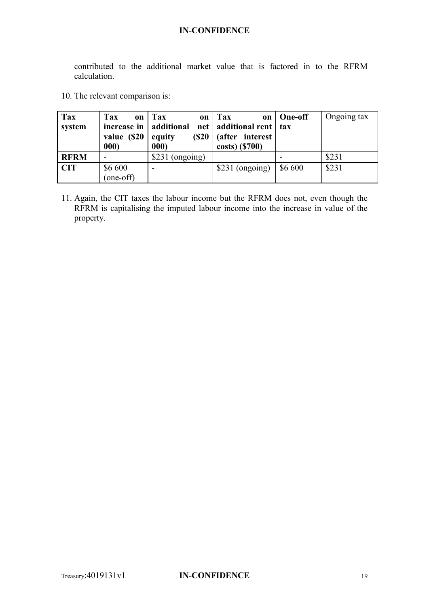contributed to the additional market value that is factored in to the RFRM calculation.

10. The relevant comparison is:

| Tax         | Tax<br>on                | Tax<br>on                | $\Gamma$ ax<br><b>on</b>    | One-off | Ongoing tax |
|-------------|--------------------------|--------------------------|-----------------------------|---------|-------------|
| system      | increase in   additional |                          | net   additional rent   tax |         |             |
|             | value (\$20              | (S20)<br>equity          | (after interest)            |         |             |
|             | 000                      | 000)                     | costs) (\$700)              |         |             |
| <b>RFRM</b> |                          | \$231 (ongoing)          |                             |         | \$231       |
| <b>CIT</b>  | \$6 600                  | $\overline{\phantom{0}}$ | \$231 (ongoing)             | \$6 600 | \$231       |
|             | (one-off)                |                          |                             |         |             |

11. Again, the CIT taxes the labour income but the RFRM does not, even though the RFRM is capitalising the imputed labour income into the increase in value of the property.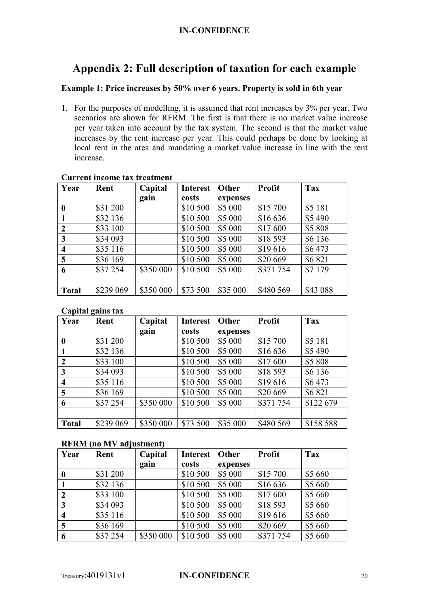## **Appendix 2: Full description of taxation for each example**

#### **Example 1: Price increases by 50% over 6 years. Property is sold in 6th year**

1. For the purposes of modelling, it is assumed that rent increases by 3% per year. Two scenarios are shown for RFRM. The first is that there is no market value increase per year taken into account by the tax system. The second is that the market value increases by the rent increase per year. This could perhaps be done by looking at local rent in the area and mandating a market value increase in line with the rent increase.

| Year                    | Rent      | Capital   | <b>Interest</b> | Other    | <b>Profit</b> | Tax      |
|-------------------------|-----------|-----------|-----------------|----------|---------------|----------|
|                         |           | gain      | costs           | expenses |               |          |
| 0                       | \$31 200  |           | \$10 500        | \$5 000  | \$15 700      | \$5 181  |
|                         | \$32 136  |           | \$10 500        | \$5 000  | \$16 636      | \$5 490  |
| $\overline{2}$          | \$33 100  |           | \$10 500        | \$5 000  | \$17 600      | \$5 808  |
| $\mathbf{3}$            | \$34 093  |           | \$10 500        | \$5 000  | \$18 593      | \$6 136  |
| $\overline{\mathbf{4}}$ | \$35 116  |           | \$10 500        | \$5 000  | \$19616       | \$6473   |
| 5                       | \$36 169  |           | \$10 500        | \$5 000  | \$20 669      | \$6821   |
| 6                       | \$37 254  | \$350 000 | \$10 500        | \$5 000  | \$371 754     | \$7 179  |
|                         |           |           |                 |          |               |          |
| <b>Total</b>            | \$239 069 | \$350 000 | \$73 500        | \$35 000 | \$480 569     | \$43 088 |

#### **Current income tax treatment**

#### **Capital gains tax**

| Year                    | Rent      | Capital   | <b>Interest</b> | Other    | <b>Profit</b> | Tax       |
|-------------------------|-----------|-----------|-----------------|----------|---------------|-----------|
|                         |           | gain      | costs           | expenses |               |           |
| $\boldsymbol{0}$        | \$31 200  |           | \$10 500        | \$5 000  | \$15 700      | \$5 181   |
|                         | \$32 136  |           | \$10 500        | \$5 000  | \$16 636      | \$5 490   |
| $\boldsymbol{2}$        | \$33 100  |           | \$10 500        | \$5 000  | \$17600       | \$5 808   |
| $\mathbf{3}$            | \$34 093  |           | \$10 500        | \$5 000  | \$18 593      | \$6 136   |
| $\overline{\mathbf{4}}$ | \$35 116  |           | \$10 500        | \$5 000  | \$19616       | \$6473    |
| 5                       | \$36 169  |           | \$10 500        | \$5 000  | \$20 669      | \$6821    |
| 6                       | \$37 254  | \$350 000 | \$10 500        | \$5 000  | \$371 754     | \$122 679 |
|                         |           |           |                 |          |               |           |
| <b>Total</b>            | \$239 069 | \$350 000 | \$73 500        | \$35 000 | \$480 569     | \$158 588 |

#### **RFRM (no MV adjustment)**

| Year                    | Rent     | Capital   | <b>Interest</b> | Other    | <b>Profit</b> | Tax     |
|-------------------------|----------|-----------|-----------------|----------|---------------|---------|
|                         |          | gain      | costs           | expenses |               |         |
|                         | \$31 200 |           | \$10 500        | \$5 000  | \$15 700      | \$5 660 |
|                         | \$32 136 |           | \$10 500        | \$5 000  | \$16 636      | \$5 660 |
| $\overline{2}$          | \$33 100 |           | \$10 500        | \$5 000  | \$17 600      | \$5 660 |
| $\mathbf{3}$            | \$34 093 |           | \$10 500        | \$5 000  | \$18 593      | \$5 660 |
| $\overline{\mathbf{4}}$ | \$35 116 |           | \$10 500        | \$5 000  | \$19616       | \$5 660 |
| 5                       | \$36 169 |           | \$10 500        | \$5 000  | \$20 669      | \$5 660 |
| 6                       | \$37 254 | \$350 000 | \$10 500        | \$5 000  | \$371 754     | \$5 660 |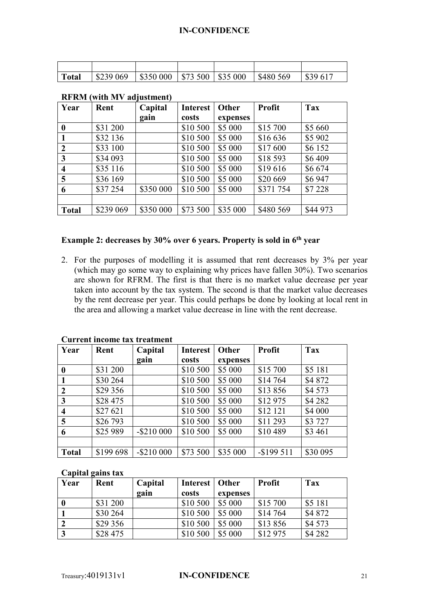| Total | $\vert$ \$239 069 $\vert$ \$350 000 $\vert$ \$73 500 $\vert$ \$35 000 $\vert$ \$480 569 |  |  | $\frac{1}{2}$ \$39.617 |
|-------|-----------------------------------------------------------------------------------------|--|--|------------------------|
|       |                                                                                         |  |  |                        |

| Year                    | Rent      | Capital   | <b>Interest</b> | Other    | <b>Profit</b> | Tax      |
|-------------------------|-----------|-----------|-----------------|----------|---------------|----------|
|                         |           | gain      | costs           | expenses |               |          |
| $\bf{0}$                | \$31 200  |           | \$10 500        | \$5 000  | \$15 700      | \$5 660  |
|                         | \$32 136  |           | \$10 500        | \$5 000  | \$16 636      | \$5 902  |
| $\overline{2}$          | \$33 100  |           | \$10 500        | \$5 000  | \$17 600      | \$6 152  |
| 3                       | \$34 093  |           | \$10 500        | \$5 000  | \$18 593      | \$6409   |
| $\overline{\mathbf{4}}$ | \$35 116  |           | \$10 500        | \$5 000  | \$19616       | \$6674   |
| 5                       | \$36 169  |           | \$10 500        | \$5 000  | \$20 669      | \$6947   |
| 6                       | \$37 254  | \$350 000 | \$10 500        | \$5 000  | \$371 754     | \$7 228  |
|                         |           |           |                 |          |               |          |
| <b>Total</b>            | \$239 069 | \$350 000 | \$73 500        | \$35 000 | \$480 569     | \$44 973 |

#### **RFRM (with MV adjustment)**

#### **Example 2: decreases by 30% over 6 years. Property is sold in 6th year**

2. For the purposes of modelling it is assumed that rent decreases by 3% per year (which may go some way to explaining why prices have fallen 30%). Two scenarios are shown for RFRM. The first is that there is no market value decrease per year taken into account by the tax system. The second is that the market value decreases by the rent decrease per year. This could perhaps be done by looking at local rent in the area and allowing a market value decrease in line with the rent decrease.

| Year                    | Rent      | Capital       | <b>Interest</b> | Other    | <b>Profit</b> | <b>Tax</b> |
|-------------------------|-----------|---------------|-----------------|----------|---------------|------------|
|                         |           | gain          | costs           | expenses |               |            |
| $\boldsymbol{0}$        | \$31 200  |               | \$10 500        | \$5 000  | \$15 700      | \$5 181    |
|                         | \$30 264  |               | \$10 500        | \$5 000  | \$14 764      | \$4 872    |
| $\overline{2}$          | \$29 356  |               | \$10 500        | \$5 000  | \$13856       | \$4 573    |
| $\overline{\mathbf{3}}$ | \$28 475  |               | \$10 500        | \$5 000  | \$12 975      | \$4 282    |
| $\overline{\mathbf{4}}$ | \$27 621  |               | \$10 500        | \$5 000  | \$12 121      | \$4 000    |
| 5                       | \$26 793  |               | \$10 500        | \$5 000  | \$11 293      | \$3 727    |
| 6                       | \$25 989  | $-$ \$210 000 | \$10 500        | \$5 000  | \$10 489      | \$3 461    |
|                         |           |               |                 |          |               |            |
| <b>Total</b>            | \$199 698 | $-$ \$210 000 | \$73 500        | \$35 000 | $-$ \$199 511 | \$30 095   |

#### **Current income tax treatment**

#### **Capital gains tax**

| Year | Rent     | Capital | Interest   Other |          | <b>Profit</b> | <b>Tax</b> |
|------|----------|---------|------------------|----------|---------------|------------|
|      |          | gain    | costs            | expenses |               |            |
|      | \$31 200 |         | \$10 500         | \$5 000  | \$15 700      | \$5 181    |
|      | \$30 264 |         | \$10 500         | \$5 000  | \$14 764      | \$4 872    |
|      | \$29 356 |         | \$10 500         | \$5 000  | \$13856       | \$4 573    |
|      | \$28 475 |         | \$10 500         | \$5 000  | \$12 975      | \$4 28 2   |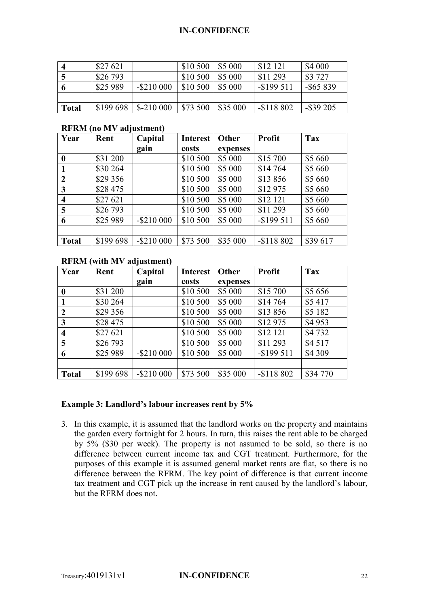|              | \$27621   |               | \$10 500 | S5 000   | \$12 121      | \$4 000      |
|--------------|-----------|---------------|----------|----------|---------------|--------------|
|              | \$26 793  |               | \$10 500 | \$5 000  | \$11 293      | \$3 727      |
|              | \$25 989  | $-$ \$210 000 | \$10 500 | \$5 000  | $-$ \$199 511 | $-$ \$65 839 |
|              |           |               |          |          |               |              |
| <b>Total</b> | \$199 698 | $$-210000$    | \$73 500 | \$35 000 | $-$118802$    | $-$ \$39 205 |

#### **RFRM (no MV adjustment)**

| Year                    | Rent      | Capital    | <b>Interest</b> | Other    | <b>Profit</b> | Tax      |
|-------------------------|-----------|------------|-----------------|----------|---------------|----------|
|                         |           | gain       | costs           | expenses |               |          |
| $\boldsymbol{0}$        | \$31 200  |            | \$10 500        | \$5 000  | \$15 700      | \$5 660  |
|                         | \$30 264  |            | \$10 500        | \$5 000  | \$14 764      | \$5 660  |
| $\overline{2}$          | \$29 356  |            | \$10 500        | \$5 000  | \$13856       | \$5 660  |
| 3                       | \$28 475  |            | \$10 500        | \$5 000  | \$12 975      | \$5 660  |
| $\overline{\mathbf{4}}$ | \$27 621  |            | \$10 500        | \$5 000  | \$12 121      | \$5 660  |
| 5                       | \$26 793  |            | \$10 500        | \$5 000  | \$11 293      | \$5 660  |
| 6                       | \$25 989  | $-$210000$ | \$10 500        | \$5 000  | $-$ \$199 511 | \$5 660  |
|                         |           |            |                 |          |               |          |
| <b>Total</b>            | \$199 698 | $-$210000$ | \$73 500        | \$35 000 | $-$118802$    | \$39 617 |

#### **RFRM (with MV adjustment)**

| Year                    | Rent      | Capital    | <b>Interest</b> | Other    | <b>Profit</b> | Tax      |
|-------------------------|-----------|------------|-----------------|----------|---------------|----------|
|                         |           | gain       | costs           | expenses |               |          |
| $\boldsymbol{0}$        | \$31 200  |            | \$10 500        | \$5 000  | \$15 700      | \$5 656  |
|                         | \$30 264  |            | \$10 500        | \$5 000  | \$14 764      | \$5417   |
| $\overline{2}$          | \$29 356  |            | \$10 500        | \$5 000  | \$13856       | \$5 182  |
| 3                       | \$28 475  |            | \$10 500        | \$5 000  | \$12 975      | \$4953   |
| $\overline{\mathbf{4}}$ | \$27 621  |            | \$10 500        | \$5 000  | \$12 121      | \$4732   |
| 5                       | \$26 793  |            | \$10 500        | \$5 000  | \$11 293      | \$4 517  |
| 6                       | \$25 989  | $-$210000$ | \$10 500        | \$5 000  | $-$ \$199 511 | \$4 309  |
|                         |           |            |                 |          |               |          |
| <b>Total</b>            | \$199 698 | $-$210000$ | \$73 500        | \$35 000 | $-$118802$    | \$34 770 |

#### **Example 3: Landlord's labour increases rent by 5%**

3. In this example, it is assumed that the landlord works on the property and maintains the garden every fortnight for 2 hours. In turn, this raises the rent able to be charged by 5% (\$30 per week). The property is not assumed to be sold, so there is no difference between current income tax and CGT treatment. Furthermore, for the purposes of this example it is assumed general market rents are flat, so there is no difference between the RFRM. The key point of difference is that current income tax treatment and CGT pick up the increase in rent caused by the landlord's labour, but the RFRM does not.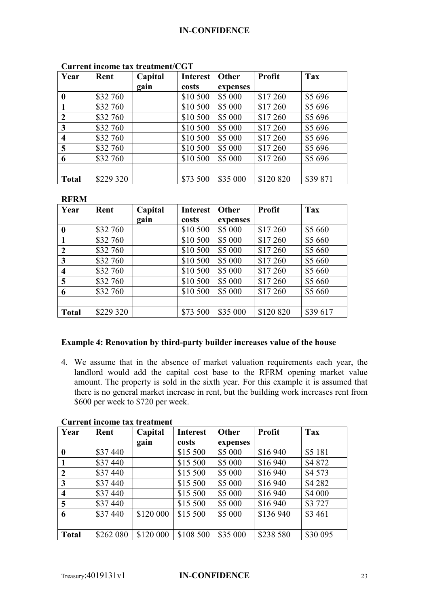| Year             | Rent      | Capital | <b>Interest</b> | Other    | Profit    | Tax      |
|------------------|-----------|---------|-----------------|----------|-----------|----------|
|                  |           | gain    | costs           | expenses |           |          |
| 0                | \$32 760  |         | \$10 500        | \$5 000  | \$17 260  | \$5 696  |
|                  | \$32 760  |         | \$10 500        | \$5 000  | \$17 260  | \$5 696  |
| $\boldsymbol{2}$ | \$32 760  |         | \$10 500        | \$5 000  | \$17 260  | \$5 696  |
| 3                | \$32 760  |         | \$10 500        | \$5 000  | \$17 260  | \$5 696  |
| 4                | \$32 760  |         | \$10 500        | \$5 000  | \$17 260  | \$5 696  |
| 5                | \$32 760  |         | \$10 500        | \$5 000  | \$17 260  | \$5 696  |
| 6                | \$32 760  |         | \$10 500        | \$5 000  | \$17 260  | \$5 696  |
|                  |           |         |                 |          |           |          |
| <b>Total</b>     | \$229 320 |         | \$73 500        | \$35 000 | \$120 820 | \$39 871 |

#### **Current income tax treatment/CGT**

#### **RFRM**

| Year                    | Rent      | Capital | <b>Interest</b> | Other    | <b>Profit</b> | Tax      |
|-------------------------|-----------|---------|-----------------|----------|---------------|----------|
|                         |           | gain    | costs           | expenses |               |          |
| $\boldsymbol{0}$        | \$32 760  |         | \$10 500        | \$5 000  | \$17 260      | \$5 660  |
|                         | \$32 760  |         | \$10 500        | \$5 000  | \$17 260      | \$5 660  |
| $\overline{2}$          | \$32 760  |         | \$10 500        | \$5 000  | \$17 260      | \$5 660  |
| $\mathbf{3}$            | \$32 760  |         | \$10 500        | \$5 000  | \$17 260      | \$5 660  |
| $\overline{\mathbf{4}}$ | \$32 760  |         | \$10 500        | \$5 000  | \$17 260      | \$5 660  |
| 5                       | \$32 760  |         | \$10 500        | \$5 000  | \$17 260      | \$5 660  |
| 6                       | \$32 760  |         | \$10 500        | \$5 000  | \$17 260      | \$5 660  |
|                         |           |         |                 |          |               |          |
| <b>Total</b>            | \$229 320 |         | \$73 500        | \$35 000 | \$120 820     | \$39 617 |

#### **Example 4: Renovation by third-party builder increases value of the house**

4. We assume that in the absence of market valuation requirements each year, the landlord would add the capital cost base to the RFRM opening market value amount. The property is sold in the sixth year. For this example it is assumed that there is no general market increase in rent, but the building work increases rent from \$600 per week to \$720 per week.

| Year                    | Rent      | Capital   | <b>Interest</b> | Other    | <b>Profit</b> | Tax      |
|-------------------------|-----------|-----------|-----------------|----------|---------------|----------|
|                         |           | gain      | costs           | expenses |               |          |
| $\boldsymbol{0}$        | \$37 440  |           | \$15 500        | \$5 000  | \$16 940      | \$5 181  |
| $\mathbf{1}$            | \$37 440  |           | \$15 500        | \$5 000  | \$16 940      | \$4 872  |
| $\boldsymbol{2}$        | \$37 440  |           | \$15 500        | \$5 000  | \$16 940      | \$4 573  |
| 3                       | \$37 440  |           | \$15 500        | \$5 000  | \$16 940      | \$4 282  |
| $\overline{\mathbf{4}}$ | \$37 440  |           | \$15 500        | \$5 000  | \$16 940      | \$4 000  |
| $\overline{5}$          | \$37 440  |           | \$15 500        | \$5 000  | \$16 940      | \$3 727  |
| 6                       | \$37440   | \$120 000 | \$15 500        | \$5 000  | \$136 940     | \$3 4 61 |
|                         |           |           |                 |          |               |          |
| <b>Total</b>            | \$262 080 | \$120 000 | \$108 500       | \$35 000 | \$238 580     | \$30 095 |

#### **Current income tax treatment**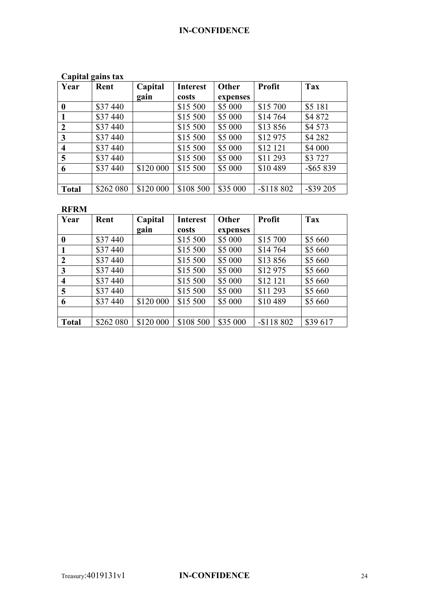### **Capital gains tax**

| Year                    | Rent      | Capital   | <b>Interest</b> | Other    | <b>Profit</b> | Tax          |
|-------------------------|-----------|-----------|-----------------|----------|---------------|--------------|
|                         |           | gain      | costs           | expenses |               |              |
| $\boldsymbol{0}$        | \$37 440  |           | \$15 500        | \$5 000  | \$15 700      | \$5 181      |
|                         | \$37 440  |           | \$15 500        | \$5 000  | \$14 764      | \$4 872      |
| $\boldsymbol{2}$        | \$37 440  |           | \$15 500        | \$5 000  | \$13856       | \$4 573      |
| $\mathbf{3}$            | \$37 440  |           | \$15 500        | \$5 000  | \$12 975      | \$4 282      |
| $\overline{\mathbf{4}}$ | \$37 440  |           | \$15 500        | \$5 000  | \$12 121      | \$4 000      |
| 5                       | \$37 440  |           | \$15 500        | \$5 000  | \$11 293      | \$3 727      |
| 6                       | \$37 440  | \$120 000 | \$15 500        | \$5 000  | \$10 489      | $-$ \$65 839 |
|                         |           |           |                 |          |               |              |
| <b>Total</b>            | \$262 080 | \$120 000 | \$108 500       | \$35 000 | $-$118802$    | $-$ \$39 205 |

#### **RFRM**

| Year                    | Rent      | Capital   | <b>Interest</b> | Other    | <b>Profit</b> | <b>Tax</b> |
|-------------------------|-----------|-----------|-----------------|----------|---------------|------------|
|                         |           | gain      | costs           | expenses |               |            |
| $\boldsymbol{0}$        | \$37 440  |           | \$15 500        | \$5 000  | \$15 700      | \$5 660    |
|                         | \$37440   |           | \$15 500        | \$5 000  | \$14 764      | \$5 660    |
| $\boldsymbol{2}$        | \$37 440  |           | \$15 500        | \$5 000  | \$13856       | \$5 660    |
| $\mathbf{3}$            | \$37 440  |           | \$15 500        | \$5 000  | \$12975       | \$5 660    |
| $\overline{\mathbf{4}}$ | \$37 440  |           | \$15 500        | \$5 000  | \$12 121      | \$5 660    |
| 5                       | \$37440   |           | \$15 500        | \$5 000  | \$11 293      | \$5 660    |
| 6                       | \$37 440  | \$120 000 | \$15 500        | \$5 000  | \$10 489      | \$5 660    |
|                         |           |           |                 |          |               |            |
| <b>Total</b>            | \$262 080 | \$120 000 | \$108 500       | \$35 000 | $-$118802$    | \$39 617   |